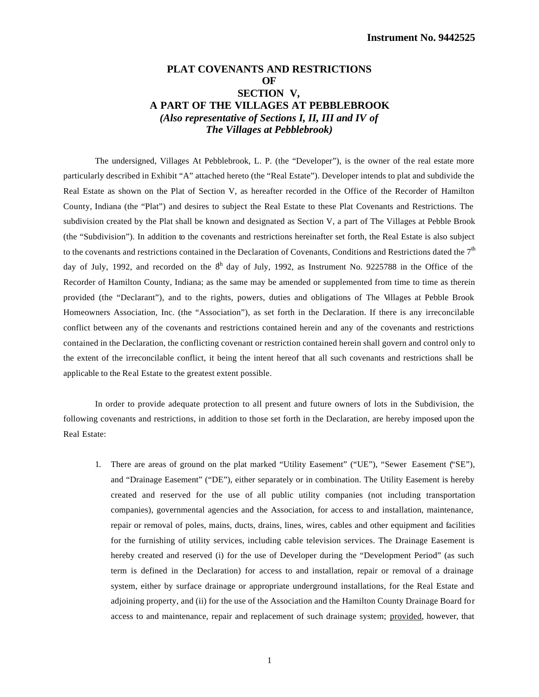## **PLAT COVENANTS AND RESTRICTIONS OF SECTION V, A PART OF THE VILLAGES AT PEBBLEBROOK** *(Also representative of Sections I, II, III and IV of The Villages at Pebblebrook)*

The undersigned, Villages At Pebblebrook, L. P. (the "Developer"), is the owner of the real estate more particularly described in Exhibit "A" attached hereto (the "Real Estate"). Developer intends to plat and subdivide the Real Estate as shown on the Plat of Section V, as hereafter recorded in the Office of the Recorder of Hamilton County, Indiana (the "Plat") and desires to subject the Real Estate to these Plat Covenants and Restrictions. The subdivision created by the Plat shall be known and designated as Section V, a part of The Villages at Pebble Brook (the "Subdivision"). In addition to the covenants and restrictions hereinafter set forth, the Real Estate is also subject to the covenants and restrictions contained in the Declaration of Covenants, Conditions and Restrictions dated the  $7<sup>th</sup>$ day of July, 1992, and recorded on the  $8<sup>h</sup>$  day of July, 1992, as Instrument No. 9225788 in the Office of the Recorder of Hamilton County, Indiana; as the same may be amended or supplemented from time to time as therein provided (the "Declarant"), and to the rights, powers, duties and obligations of The Villages at Pebble Brook Homeowners Association, Inc. (the "Association"), as set forth in the Declaration. If there is any irreconcilable conflict between any of the covenants and restrictions contained herein and any of the covenants and restrictions contained in the Declaration, the conflicting covenant or restriction contained herein shall govern and control only to the extent of the irreconcilable conflict, it being the intent hereof that all such covenants and restrictions shall be applicable to the Real Estate to the greatest extent possible.

In order to provide adequate protection to all present and future owners of lots in the Subdivision, the following covenants and restrictions, in addition to those set forth in the Declaration, are hereby imposed upon the Real Estate:

1. There are areas of ground on the plat marked "Utility Easement" ("UE"), "Sewer Easement ("SE"), and "Drainage Easement" ("DE"), either separately or in combination. The Utility Easement is hereby created and reserved for the use of all public utility companies (not including transportation companies), governmental agencies and the Association, for access to and installation, maintenance, repair or removal of poles, mains, ducts, drains, lines, wires, cables and other equipment and facilities for the furnishing of utility services, including cable television services. The Drainage Easement is hereby created and reserved (i) for the use of Developer during the "Development Period" (as such term is defined in the Declaration) for access to and installation, repair or removal of a drainage system, either by surface drainage or appropriate underground installations, for the Real Estate and adjoining property, and (ii) for the use of the Association and the Hamilton County Drainage Board for access to and maintenance, repair and replacement of such drainage system; provided, however, that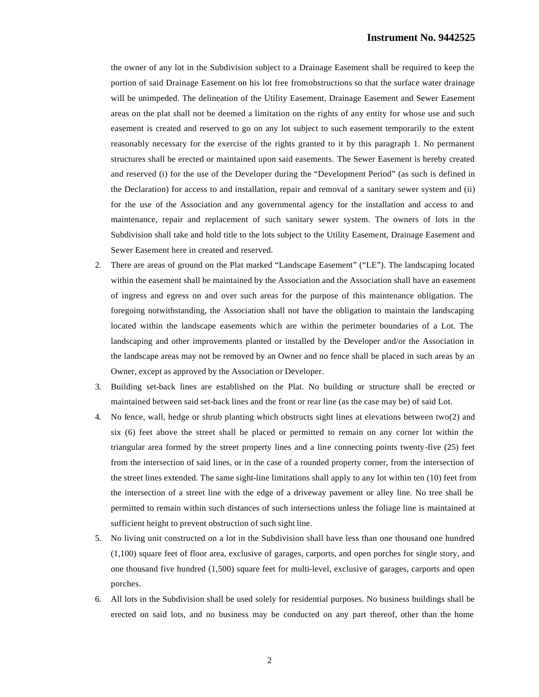the owner of any lot in the Subdivision subject to a Drainage Easement shall be required to keep the portion of said Drainage Easement on his lot free from obstructions so that the surface water drainage will be unimpeded. The delineation of the Utility Easement, Drainage Easement and Sewer Easement areas on the plat shall not be deemed a limitation on the rights of any entity for whose use and such easement is created and reserved to go on any lot subject to such easement temporarily to the extent reasonably necessary for the exercise of the rights granted to it by this paragraph 1. No permanent structures shall be erected or maintained upon said easements. The Sewer Easement is hereby created and reserved (i) for the use of the Developer during the "Development Period" (as such is defined in the Declaration) for access to and installation, repair and removal of a sanitary sewer system and (ii) for the use of the Association and any governmental agency for the installation and access to and maintenance, repair and replacement of such sanitary sewer system. The owners of lots in the Subdivision shall take and hold title to the lots subject to the Utility Easement, Drainage Easement and Sewer Easement here in created and reserved.

- 2. There are areas of ground on the Plat marked "Landscape Easement" ("LE"). The landscaping located within the easement shall be maintained by the Association and the Association shall have an easement of ingress and egress on and over such areas for the purpose of this maintenance obligation. The foregoing notwithstanding, the Association shall not have the obligation to maintain the landscaping located within the landscape easements which are within the perimeter boundaries of a Lot. The landscaping and other improvements planted or installed by the Developer and/or the Association in the landscape areas may not be removed by an Owner and no fence shall be placed in such areas by an Owner, except as approved by the Association or Developer.
- 3. Building set-back lines are established on the Plat. No building or structure shall be erected or maintained between said set-back lines and the front or rear line (as the case may be) of said Lot.
- 4. No fence, wall, hedge or shrub planting which obstructs sight lines at elevations between two(2) and six (6) feet above the street shall be placed or permitted to remain on any corner lot within the triangular area formed by the street property lines and a line connecting points twenty-five (25) feet from the intersection of said lines, or in the case of a rounded property corner, from the intersection of the street lines extended. The same sight-line limitations shall apply to any lot within ten (10) feet from the intersection of a street line with the edge of a driveway pavement or alley line. No tree shall be permitted to remain within such distances of such intersections unless the foliage line is maintained at sufficient height to prevent obstruction of such sight line.
- 5. No living unit constructed on a lot in the Subdivision shall have less than one thousand one hundred (1,100) square feet of floor area, exclusive of garages, carports, and open porches for single story, and one thousand five hundred (1,500) square feet for multi-level, exclusive of garages, carports and open porches.
- 6. All lots in the Subdivision shall be used solely for residential purposes. No business buildings shall be erected on said lots, and no business may be conducted on any part thereof, other than the home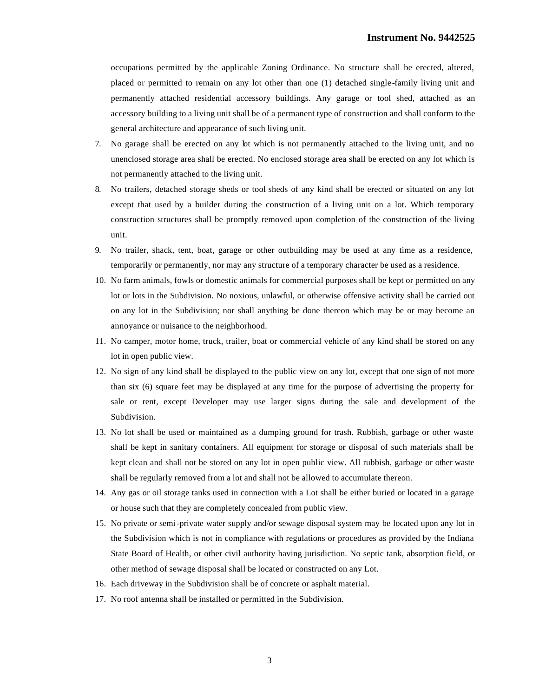occupations permitted by the applicable Zoning Ordinance. No structure shall be erected, altered, placed or permitted to remain on any lot other than one (1) detached single-family living unit and permanently attached residential accessory buildings. Any garage or tool shed, attached as an accessory building to a living unit shall be of a permanent type of construction and shall conform to the general architecture and appearance of such living unit.

- 7. No garage shall be erected on any lot which is not permanently attached to the living unit, and no unenclosed storage area shall be erected. No enclosed storage area shall be erected on any lot which is not permanently attached to the living unit.
- 8. No trailers, detached storage sheds or tool sheds of any kind shall be erected or situated on any lot except that used by a builder during the construction of a living unit on a lot. Which temporary construction structures shall be promptly removed upon completion of the construction of the living unit.
- 9. No trailer, shack, tent, boat, garage or other outbuilding may be used at any time as a residence, temporarily or permanently, nor may any structure of a temporary character be used as a residence.
- 10. No farm animals, fowls or domestic animals for commercial purposes shall be kept or permitted on any lot or lots in the Subdivision. No noxious, unlawful, or otherwise offensive activity shall be carried out on any lot in the Subdivision; nor shall anything be done thereon which may be or may become an annoyance or nuisance to the neighborhood.
- 11. No camper, motor home, truck, trailer, boat or commercial vehicle of any kind shall be stored on any lot in open public view.
- 12. No sign of any kind shall be displayed to the public view on any lot, except that one sign of not more than six (6) square feet may be displayed at any time for the purpose of advertising the property for sale or rent, except Developer may use larger signs during the sale and development of the Subdivision.
- 13. No lot shall be used or maintained as a dumping ground for trash. Rubbish, garbage or other waste shall be kept in sanitary containers. All equipment for storage or disposal of such materials shall be kept clean and shall not be stored on any lot in open public view. All rubbish, garbage or other waste shall be regularly removed from a lot and shall not be allowed to accumulate thereon.
- 14. Any gas or oil storage tanks used in connection with a Lot shall be either buried or located in a garage or house such that they are completely concealed from public view.
- 15. No private or semi-private water supply and/or sewage disposal system may be located upon any lot in the Subdivision which is not in compliance with regulations or procedures as provided by the Indiana State Board of Health, or other civil authority having jurisdiction. No septic tank, absorption field, or other method of sewage disposal shall be located or constructed on any Lot.
- 16. Each driveway in the Subdivision shall be of concrete or asphalt material.
- 17. No roof antenna shall be installed or permitted in the Subdivision.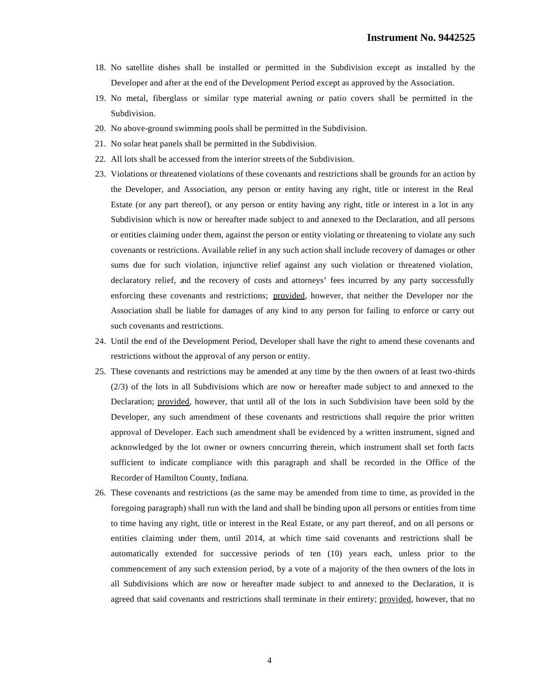- 18. No satellite dishes shall be installed or permitted in the Subdivision except as installed by the Developer and after at the end of the Development Period except as approved by the Association.
- 19. No metal, fiberglass or similar type material awning or patio covers shall be permitted in the Subdivision.
- 20. No above-ground swimming pools shall be permitted in the Subdivision.
- 21. No solar heat panels shall be permitted in the Subdivision.
- 22. All lots shall be accessed from the interior streets of the Subdivision.
- 23. Violations or threatened violations of these covenants and restrictions shall be grounds for an action by the Developer, and Association, any person or entity having any right, title or interest in the Real Estate (or any part thereof), or any person or entity having any right, title or interest in a lot in any Subdivision which is now or hereafter made subject to and annexed to the Declaration, and all persons or entities claiming under them, against the person or entity violating or threatening to violate any such covenants or restrictions. Available relief in any such action shall include recovery of damages or other sums due for such violation, injunctive relief against any such violation or threatened violation, declaratory relief, and the recovery of costs and attorneys' fees incurred by any party successfully enforcing these covenants and restrictions; provided, however, that neither the Developer nor the Association shall be liable for damages of any kind to any person for failing to enforce or carry out such covenants and restrictions.
- 24. Until the end of the Development Period, Developer shall have the right to amend these covenants and restrictions without the approval of any person or entity.
- 25. These covenants and restrictions may be amended at any time by the then owners of at least two-thirds (2/3) of the lots in all Subdivisions which are now or hereafter made subject to and annexed to the Declaration; provided, however, that until all of the lots in such Subdivision have been sold by the Developer, any such amendment of these covenants and restrictions shall require the prior written approval of Developer. Each such amendment shall be evidenced by a written instrument, signed and acknowledged by the lot owner or owners concurring therein, which instrument shall set forth facts sufficient to indicate compliance with this paragraph and shall be recorded in the Office of the Recorder of Hamilton County, Indiana.
- 26. These covenants and restrictions (as the same may be amended from time to time, as provided in the foregoing paragraph) shall run with the land and shall be binding upon all persons or entities from time to time having any right, title or interest in the Real Estate, or any part thereof, and on all persons or entities claiming under them, until 2014, at which time said covenants and restrictions shall be automatically extended for successive periods of ten (10) years each, unless prior to the commencement of any such extension period, by a vote of a majority of the then owners of the lots in all Subdivisions which are now or hereafter made subject to and annexed to the Declaration, it is agreed that said covenants and restrictions shall terminate in their entirety; provided, however, that no